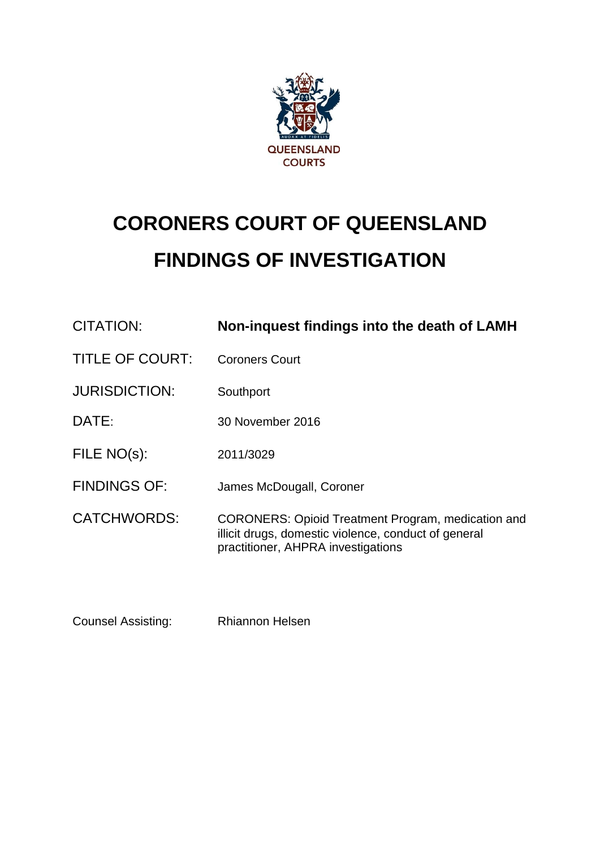

# **CORONERS COURT OF QUEENSLAND FINDINGS OF INVESTIGATION**

| CITATION:              | Non-inquest findings into the death of LAMH                                                                                                             |
|------------------------|---------------------------------------------------------------------------------------------------------------------------------------------------------|
| <b>TITLE OF COURT:</b> | <b>Coroners Court</b>                                                                                                                                   |
| <b>JURISDICTION:</b>   | Southport                                                                                                                                               |
| DATE:                  | 30 November 2016                                                                                                                                        |
| FILE NO(s):            | 2011/3029                                                                                                                                               |
| <b>FINDINGS OF:</b>    | James McDougall, Coroner                                                                                                                                |
| <b>CATCHWORDS:</b>     | <b>CORONERS: Opioid Treatment Program, medication and</b><br>illicit drugs, domestic violence, conduct of general<br>practitioner, AHPRA investigations |

Counsel Assisting: Rhiannon Helsen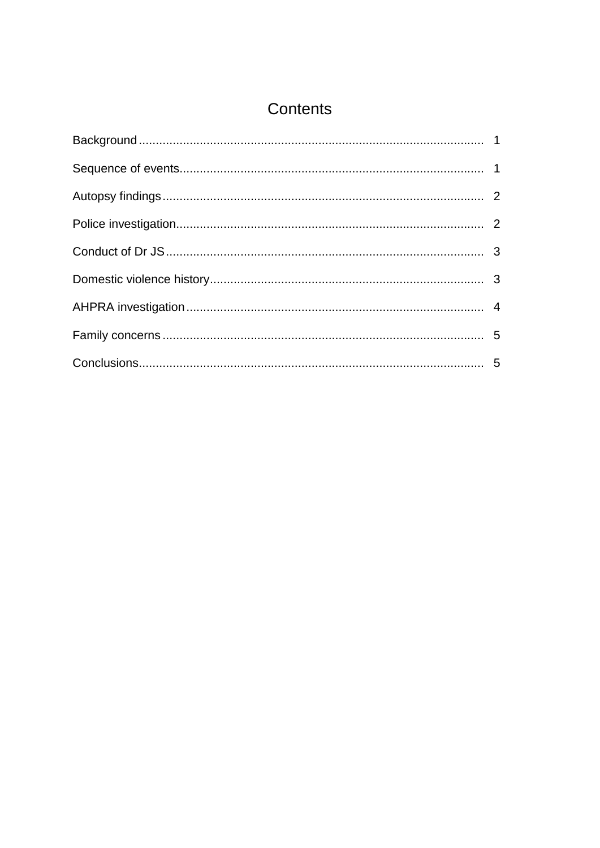# Contents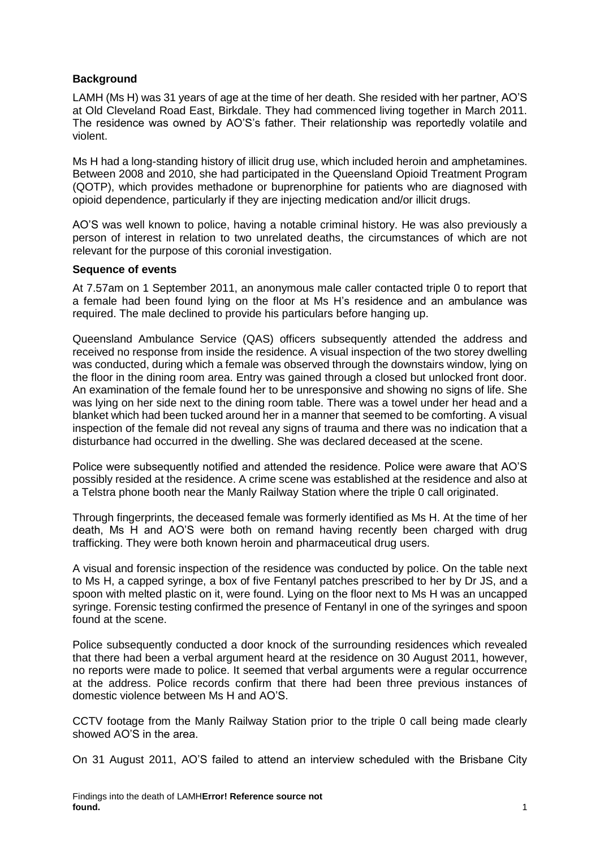# <span id="page-2-0"></span>**Background**

LAMH (Ms H) was 31 years of age at the time of her death. She resided with her partner, AO'S at Old Cleveland Road East, Birkdale. They had commenced living together in March 2011. The residence was owned by AO'S's father. Their relationship was reportedly volatile and violent.

Ms H had a long-standing history of illicit drug use, which included heroin and amphetamines. Between 2008 and 2010, she had participated in the Queensland Opioid Treatment Program (QOTP), which provides methadone or buprenorphine for patients who are diagnosed with opioid dependence, particularly if they are injecting medication and/or illicit drugs.

AO'S was well known to police, having a notable criminal history. He was also previously a person of interest in relation to two unrelated deaths, the circumstances of which are not relevant for the purpose of this coronial investigation.

#### <span id="page-2-1"></span>**Sequence of events**

At 7.57am on 1 September 2011, an anonymous male caller contacted triple 0 to report that a female had been found lying on the floor at Ms H's residence and an ambulance was required. The male declined to provide his particulars before hanging up.

Queensland Ambulance Service (QAS) officers subsequently attended the address and received no response from inside the residence. A visual inspection of the two storey dwelling was conducted, during which a female was observed through the downstairs window, lying on the floor in the dining room area. Entry was gained through a closed but unlocked front door. An examination of the female found her to be unresponsive and showing no signs of life. She was lying on her side next to the dining room table. There was a towel under her head and a blanket which had been tucked around her in a manner that seemed to be comforting. A visual inspection of the female did not reveal any signs of trauma and there was no indication that a disturbance had occurred in the dwelling. She was declared deceased at the scene.

Police were subsequently notified and attended the residence. Police were aware that AO'S possibly resided at the residence. A crime scene was established at the residence and also at a Telstra phone booth near the Manly Railway Station where the triple 0 call originated.

Through fingerprints, the deceased female was formerly identified as Ms H. At the time of her death, Ms H and AO'S were both on remand having recently been charged with drug trafficking. They were both known heroin and pharmaceutical drug users.

A visual and forensic inspection of the residence was conducted by police. On the table next to Ms H, a capped syringe, a box of five Fentanyl patches prescribed to her by Dr JS, and a spoon with melted plastic on it, were found. Lying on the floor next to Ms H was an uncapped syringe. Forensic testing confirmed the presence of Fentanyl in one of the syringes and spoon found at the scene.

Police subsequently conducted a door knock of the surrounding residences which revealed that there had been a verbal argument heard at the residence on 30 August 2011, however, no reports were made to police. It seemed that verbal arguments were a regular occurrence at the address. Police records confirm that there had been three previous instances of domestic violence between Ms H and AO'S.

CCTV footage from the Manly Railway Station prior to the triple 0 call being made clearly showed AO'S in the area.

On 31 August 2011, AO'S failed to attend an interview scheduled with the Brisbane City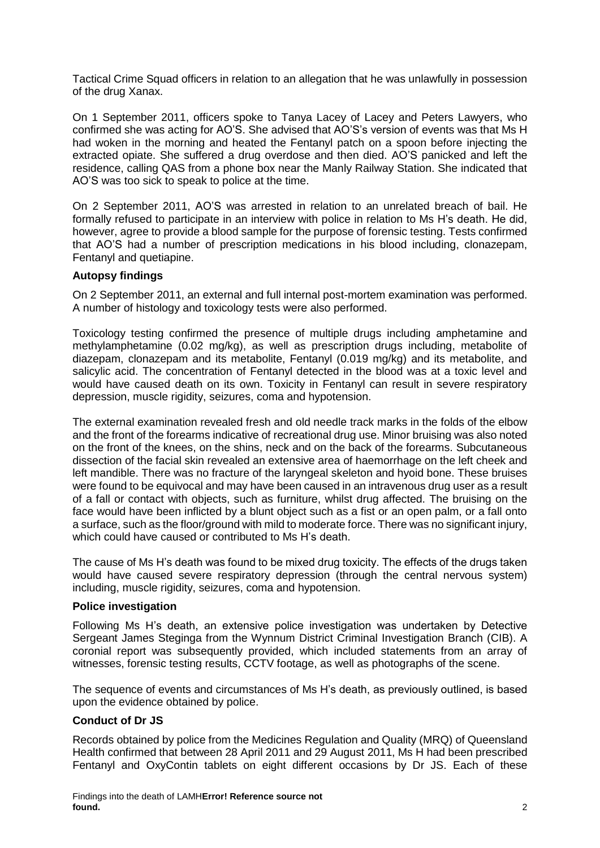Tactical Crime Squad officers in relation to an allegation that he was unlawfully in possession of the drug Xanax.

On 1 September 2011, officers spoke to Tanya Lacey of Lacey and Peters Lawyers, who confirmed she was acting for AO'S. She advised that AO'S's version of events was that Ms H had woken in the morning and heated the Fentanyl patch on a spoon before injecting the extracted opiate. She suffered a drug overdose and then died. AO'S panicked and left the residence, calling QAS from a phone box near the Manly Railway Station. She indicated that AO'S was too sick to speak to police at the time.

On 2 September 2011, AO'S was arrested in relation to an unrelated breach of bail. He formally refused to participate in an interview with police in relation to Ms H's death. He did, however, agree to provide a blood sample for the purpose of forensic testing. Tests confirmed that AO'S had a number of prescription medications in his blood including, clonazepam, Fentanyl and quetiapine.

# <span id="page-3-0"></span>**Autopsy findings**

On 2 September 2011, an external and full internal post-mortem examination was performed. A number of histology and toxicology tests were also performed.

Toxicology testing confirmed the presence of multiple drugs including amphetamine and methylamphetamine (0.02 mg/kg), as well as prescription drugs including, metabolite of diazepam, clonazepam and its metabolite, Fentanyl (0.019 mg/kg) and its metabolite, and salicylic acid. The concentration of Fentanyl detected in the blood was at a toxic level and would have caused death on its own. Toxicity in Fentanyl can result in severe respiratory depression, muscle rigidity, seizures, coma and hypotension.

The external examination revealed fresh and old needle track marks in the folds of the elbow and the front of the forearms indicative of recreational drug use. Minor bruising was also noted on the front of the knees, on the shins, neck and on the back of the forearms. Subcutaneous dissection of the facial skin revealed an extensive area of haemorrhage on the left cheek and left mandible. There was no fracture of the laryngeal skeleton and hyoid bone. These bruises were found to be equivocal and may have been caused in an intravenous drug user as a result of a fall or contact with objects, such as furniture, whilst drug affected. The bruising on the face would have been inflicted by a blunt object such as a fist or an open palm, or a fall onto a surface, such as the floor/ground with mild to moderate force. There was no significant injury, which could have caused or contributed to Ms H's death.

The cause of Ms H's death was found to be mixed drug toxicity. The effects of the drugs taken would have caused severe respiratory depression (through the central nervous system) including, muscle rigidity, seizures, coma and hypotension.

### <span id="page-3-1"></span>**Police investigation**

Following Ms H's death, an extensive police investigation was undertaken by Detective Sergeant James Steginga from the Wynnum District Criminal Investigation Branch (CIB). A coronial report was subsequently provided, which included statements from an array of witnesses, forensic testing results, CCTV footage, as well as photographs of the scene.

<span id="page-3-2"></span>The sequence of events and circumstances of Ms H's death, as previously outlined, is based upon the evidence obtained by police.

# **Conduct of Dr JS**

Records obtained by police from the Medicines Regulation and Quality (MRQ) of Queensland Health confirmed that between 28 April 2011 and 29 August 2011, Ms H had been prescribed Fentanyl and OxyContin tablets on eight different occasions by Dr JS. Each of these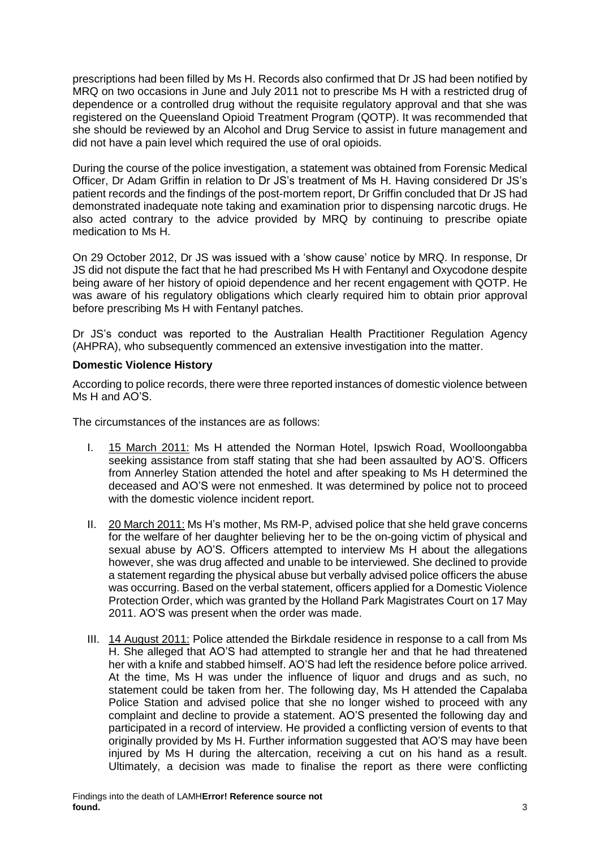prescriptions had been filled by Ms H. Records also confirmed that Dr JS had been notified by MRQ on two occasions in June and July 2011 not to prescribe Ms H with a restricted drug of dependence or a controlled drug without the requisite regulatory approval and that she was registered on the Queensland Opioid Treatment Program (QOTP). It was recommended that she should be reviewed by an Alcohol and Drug Service to assist in future management and did not have a pain level which required the use of oral opioids.

During the course of the police investigation, a statement was obtained from Forensic Medical Officer, Dr Adam Griffin in relation to Dr JS's treatment of Ms H. Having considered Dr JS's patient records and the findings of the post-mortem report, Dr Griffin concluded that Dr JS had demonstrated inadequate note taking and examination prior to dispensing narcotic drugs. He also acted contrary to the advice provided by MRQ by continuing to prescribe opiate medication to Ms H.

On 29 October 2012, Dr JS was issued with a 'show cause' notice by MRQ. In response, Dr JS did not dispute the fact that he had prescribed Ms H with Fentanyl and Oxycodone despite being aware of her history of opioid dependence and her recent engagement with QOTP. He was aware of his regulatory obligations which clearly required him to obtain prior approval before prescribing Ms H with Fentanyl patches.

Dr JS's conduct was reported to the Australian Health Practitioner Regulation Agency (AHPRA), who subsequently commenced an extensive investigation into the matter.

# <span id="page-4-0"></span>**Domestic Violence History**

According to police records, there were three reported instances of domestic violence between Ms H and AO'S.

The circumstances of the instances are as follows:

- I. 15 March 2011: Ms H attended the Norman Hotel, Ipswich Road, Woolloongabba seeking assistance from staff stating that she had been assaulted by AO'S. Officers from Annerley Station attended the hotel and after speaking to Ms H determined the deceased and AO'S were not enmeshed. It was determined by police not to proceed with the domestic violence incident report.
- II. 20 March 2011: Ms H's mother, Ms RM-P, advised police that she held grave concerns for the welfare of her daughter believing her to be the on-going victim of physical and sexual abuse by AO'S. Officers attempted to interview Ms H about the allegations however, she was drug affected and unable to be interviewed. She declined to provide a statement regarding the physical abuse but verbally advised police officers the abuse was occurring. Based on the verbal statement, officers applied for a Domestic Violence Protection Order, which was granted by the Holland Park Magistrates Court on 17 May 2011. AO'S was present when the order was made.
- III. 14 August 2011: Police attended the Birkdale residence in response to a call from Ms H. She alleged that AO'S had attempted to strangle her and that he had threatened her with a knife and stabbed himself. AO'S had left the residence before police arrived. At the time, Ms H was under the influence of liquor and drugs and as such, no statement could be taken from her. The following day, Ms H attended the Capalaba Police Station and advised police that she no longer wished to proceed with any complaint and decline to provide a statement. AO'S presented the following day and participated in a record of interview. He provided a conflicting version of events to that originally provided by Ms H. Further information suggested that AO'S may have been injured by Ms H during the altercation, receiving a cut on his hand as a result. Ultimately, a decision was made to finalise the report as there were conflicting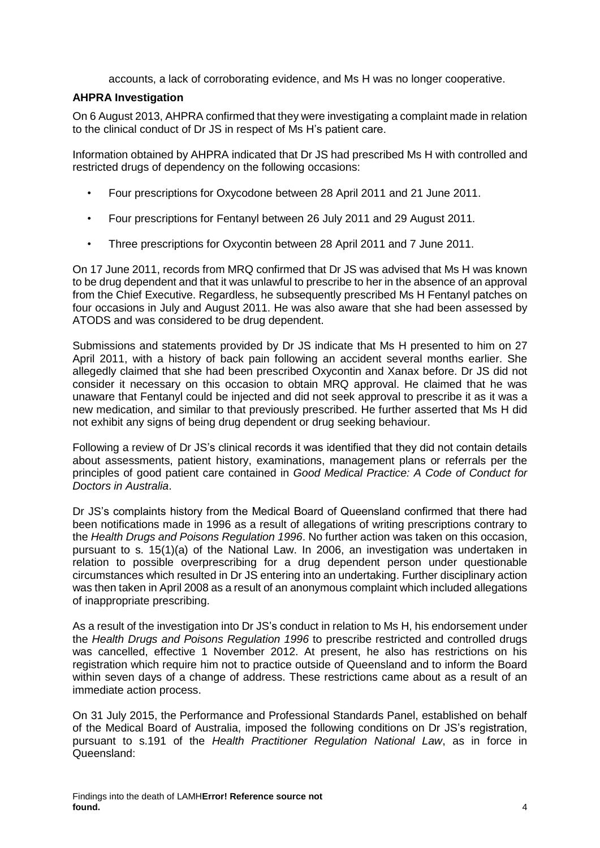accounts, a lack of corroborating evidence, and Ms H was no longer cooperative.

### <span id="page-5-0"></span>**AHPRA Investigation**

On 6 August 2013, AHPRA confirmed that they were investigating a complaint made in relation to the clinical conduct of Dr JS in respect of Ms H's patient care.

Information obtained by AHPRA indicated that Dr JS had prescribed Ms H with controlled and restricted drugs of dependency on the following occasions:

- Four prescriptions for Oxycodone between 28 April 2011 and 21 June 2011.
- Four prescriptions for Fentanyl between 26 July 2011 and 29 August 2011.
- Three prescriptions for Oxycontin between 28 April 2011 and 7 June 2011.

On 17 June 2011, records from MRQ confirmed that Dr JS was advised that Ms H was known to be drug dependent and that it was unlawful to prescribe to her in the absence of an approval from the Chief Executive. Regardless, he subsequently prescribed Ms H Fentanyl patches on four occasions in July and August 2011. He was also aware that she had been assessed by ATODS and was considered to be drug dependent.

Submissions and statements provided by Dr JS indicate that Ms H presented to him on 27 April 2011, with a history of back pain following an accident several months earlier. She allegedly claimed that she had been prescribed Oxycontin and Xanax before. Dr JS did not consider it necessary on this occasion to obtain MRQ approval. He claimed that he was unaware that Fentanyl could be injected and did not seek approval to prescribe it as it was a new medication, and similar to that previously prescribed. He further asserted that Ms H did not exhibit any signs of being drug dependent or drug seeking behaviour.

Following a review of Dr JS's clinical records it was identified that they did not contain details about assessments, patient history, examinations, management plans or referrals per the principles of good patient care contained in *Good Medical Practice: A Code of Conduct for Doctors in Australia*.

Dr JS's complaints history from the Medical Board of Queensland confirmed that there had been notifications made in 1996 as a result of allegations of writing prescriptions contrary to the *Health Drugs and Poisons Regulation 1996*. No further action was taken on this occasion, pursuant to s. 15(1)(a) of the National Law. In 2006, an investigation was undertaken in relation to possible overprescribing for a drug dependent person under questionable circumstances which resulted in Dr JS entering into an undertaking. Further disciplinary action was then taken in April 2008 as a result of an anonymous complaint which included allegations of inappropriate prescribing.

As a result of the investigation into Dr JS's conduct in relation to Ms H, his endorsement under the *Health Drugs and Poisons Regulation 1996* to prescribe restricted and controlled drugs was cancelled, effective 1 November 2012. At present, he also has restrictions on his registration which require him not to practice outside of Queensland and to inform the Board within seven days of a change of address. These restrictions came about as a result of an immediate action process.

On 31 July 2015, the Performance and Professional Standards Panel, established on behalf of the Medical Board of Australia, imposed the following conditions on Dr JS's registration, pursuant to s.191 of the *Health Practitioner Regulation National Law*, as in force in Queensland: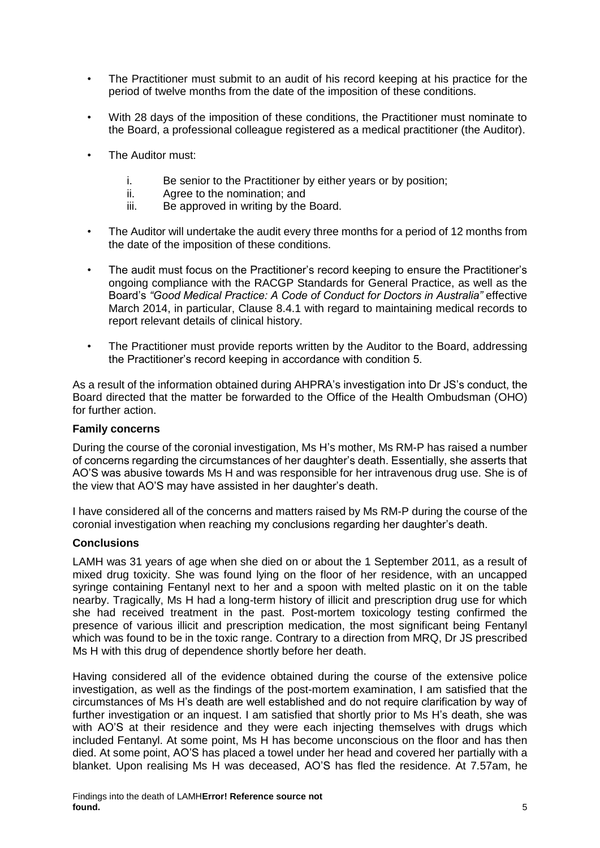- The Practitioner must submit to an audit of his record keeping at his practice for the period of twelve months from the date of the imposition of these conditions.
- With 28 days of the imposition of these conditions, the Practitioner must nominate to the Board, a professional colleague registered as a medical practitioner (the Auditor).
- The Auditor must:
	- i. Be senior to the Practitioner by either years or by position;
	- ii. Agree to the nomination; and
	- iii. Be approved in writing by the Board.
- The Auditor will undertake the audit every three months for a period of 12 months from the date of the imposition of these conditions.
- The audit must focus on the Practitioner's record keeping to ensure the Practitioner's ongoing compliance with the RACGP Standards for General Practice, as well as the Board's *"Good Medical Practice: A Code of Conduct for Doctors in Australia"* effective March 2014, in particular, Clause 8.4.1 with regard to maintaining medical records to report relevant details of clinical history.
- The Practitioner must provide reports written by the Auditor to the Board, addressing the Practitioner's record keeping in accordance with condition 5.

As a result of the information obtained during AHPRA's investigation into Dr JS's conduct, the Board directed that the matter be forwarded to the Office of the Health Ombudsman (OHO) for further action.

### <span id="page-6-0"></span>**Family concerns**

During the course of the coronial investigation, Ms H's mother, Ms RM-P has raised a number of concerns regarding the circumstances of her daughter's death. Essentially, she asserts that AO'S was abusive towards Ms H and was responsible for her intravenous drug use. She is of the view that AO'S may have assisted in her daughter's death.

I have considered all of the concerns and matters raised by Ms RM-P during the course of the coronial investigation when reaching my conclusions regarding her daughter's death.

### <span id="page-6-1"></span>**Conclusions**

LAMH was 31 years of age when she died on or about the 1 September 2011, as a result of mixed drug toxicity. She was found lying on the floor of her residence, with an uncapped syringe containing Fentanyl next to her and a spoon with melted plastic on it on the table nearby. Tragically, Ms H had a long-term history of illicit and prescription drug use for which she had received treatment in the past. Post-mortem toxicology testing confirmed the presence of various illicit and prescription medication, the most significant being Fentanyl which was found to be in the toxic range. Contrary to a direction from MRQ, Dr JS prescribed Ms H with this drug of dependence shortly before her death.

Having considered all of the evidence obtained during the course of the extensive police investigation, as well as the findings of the post-mortem examination, I am satisfied that the circumstances of Ms H's death are well established and do not require clarification by way of further investigation or an inquest. I am satisfied that shortly prior to Ms H's death, she was with AO'S at their residence and they were each injecting themselves with drugs which included Fentanyl. At some point, Ms H has become unconscious on the floor and has then died. At some point, AO'S has placed a towel under her head and covered her partially with a blanket. Upon realising Ms H was deceased, AO'S has fled the residence. At 7.57am, he